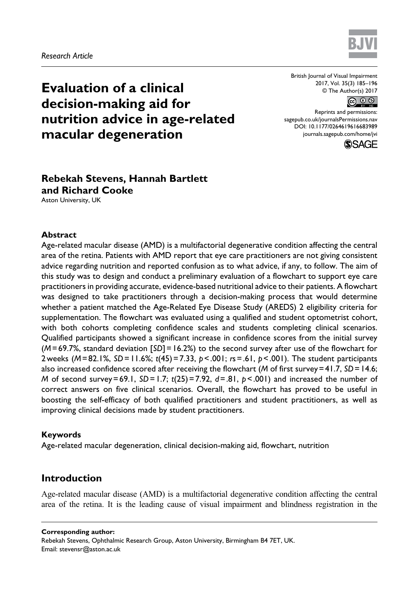*Research Article*



British Journal of Visual Impairment 2017, Vol. 35(3) 185–196 © The Author(s) 2017



DOI: 10.1177/0264619616683989 Reprints and permissions: [sagepub.co.uk/journalsPermissions.nav](http://sagepub.co.uk/journalsPermissions.nav) [journals.sagepub.com/home/jvi](http://journals.sagepub.com/home/jvi)



# **Evaluation of a clinical decision-making aid for nutrition advice in age-related macular degeneration**

# **Rebekah Stevens, Hannah Bartlett and Richard Cooke**

Aston University, UK

### **Abstract**

Age-related macular disease (AMD) is a multifactorial degenerative condition affecting the central area of the retina. Patients with AMD report that eye care practitioners are not giving consistent advice regarding nutrition and reported confusion as to what advice, if any, to follow. The aim of this study was to design and conduct a preliminary evaluation of a flowchart to support eye care practitioners in providing accurate, evidence-based nutritional advice to their patients. A flowchart was designed to take practitioners through a decision-making process that would determine whether a patient matched the Age-Related Eye Disease Study (AREDS) 2 eligibility criteria for supplementation. The flowchart was evaluated using a qualified and student optometrist cohort, with both cohorts completing confidence scales and students completing clinical scenarios. Qualified participants showed a significant increase in confidence scores from the initial survey (*M*=69.7%, standard deviation [*SD*]=16.2%) to the second survey after use of the flowchart for 2weeks (*M*=82.1%, *SD*=11.6%; *t*(45)=7.33, *p*<.001; *r*s=.61, *p*<.001). The student participants also increased confidence scored after receiving the flowchart (*M* of first survey=41.7, *SD*=14.6; *M* of second survey=69.1, *SD*=1.7; *t*(25)=7.92, *d*=.81, *p*<.001) and increased the number of correct answers on five clinical scenarios. Overall, the flowchart has proved to be useful in boosting the self-efficacy of both qualified practitioners and student practitioners, as well as improving clinical decisions made by student practitioners.

## **Keywords**

Age-related macular degeneration, clinical decision-making aid, flowchart, nutrition

# **Introduction**

Age-related macular disease (AMD) is a multifactorial degenerative condition affecting the central area of the retina. It is the leading cause of visual impairment and blindness registration in the

Rebekah Stevens, Ophthalmic Research Group, Aston University, Birmingham B4 7ET, UK. Email: stevensr@aston.ac.uk

**Corresponding author:**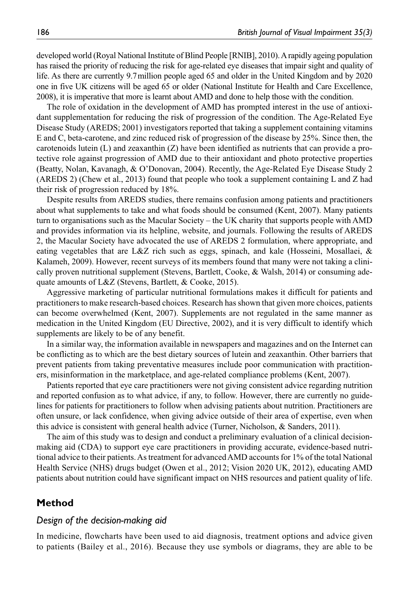developed world (Royal National Institute of Blind People [RNIB], 2010). A rapidly ageing population has raised the priority of reducing the risk for age-related eye diseases that impair sight and quality of life. As there are currently 9.7million people aged 65 and older in the United Kingdom and by 2020 one in five UK citizens will be aged 65 or older (National Institute for Health and Care Excellence, 2008), it is imperative that more is learnt about AMD and done to help those with the condition.

The role of oxidation in the development of AMD has prompted interest in the use of antioxidant supplementation for reducing the risk of progression of the condition. The Age-Related Eye Disease Study (AREDS; 2001) investigators reported that taking a supplement containing vitamins E and C, beta-carotene, and zinc reduced risk of progression of the disease by 25%. Since then, the carotenoids lutein  $(L)$  and zeaxanthin  $(Z)$  have been identified as nutrients that can provide a protective role against progression of AMD due to their antioxidant and photo protective properties (Beatty, Nolan, Kavanagh, & O'Donovan, 2004). Recently, the Age-Related Eye Disease Study 2 (AREDS 2) (Chew et al., 2013) found that people who took a supplement containing L and Z had their risk of progression reduced by 18%.

Despite results from AREDS studies, there remains confusion among patients and practitioners about what supplements to take and what foods should be consumed (Kent, 2007). Many patients turn to organisations such as the Macular Society – the UK charity that supports people with AMD and provides information via its helpline, website, and journals. Following the results of AREDS 2, the Macular Society have advocated the use of AREDS 2 formulation, where appropriate, and eating vegetables that are L&Z rich such as eggs, spinach, and kale (Hosseini, Mosallaei, & Kalameh, 2009). However, recent surveys of its members found that many were not taking a clinically proven nutritional supplement (Stevens, Bartlett, Cooke, & Walsh, 2014) or consuming adequate amounts of L&Z (Stevens, Bartlett, & Cooke, 2015).

Aggressive marketing of particular nutritional formulations makes it difficult for patients and practitioners to make research-based choices. Research has shown that given more choices, patients can become overwhelmed (Kent, 2007). Supplements are not regulated in the same manner as medication in the United Kingdom (EU Directive, 2002), and it is very difficult to identify which supplements are likely to be of any benefit.

In a similar way, the information available in newspapers and magazines and on the Internet can be conflicting as to which are the best dietary sources of lutein and zeaxanthin. Other barriers that prevent patients from taking preventative measures include poor communication with practitioners, misinformation in the marketplace, and age-related compliance problems (Kent, 2007).

Patients reported that eye care practitioners were not giving consistent advice regarding nutrition and reported confusion as to what advice, if any, to follow. However, there are currently no guidelines for patients for practitioners to follow when advising patients about nutrition. Practitioners are often unsure, or lack confidence, when giving advice outside of their area of expertise, even when this advice is consistent with general health advice (Turner, Nicholson, & Sanders, 2011).

The aim of this study was to design and conduct a preliminary evaluation of a clinical decisionmaking aid (CDA) to support eye care practitioners in providing accurate, evidence-based nutritional advice to their patients. As treatment for advanced AMD accounts for 1% of the total National Health Service (NHS) drugs budget (Owen et al., 2012; Vision 2020 UK, 2012), educating AMD patients about nutrition could have significant impact on NHS resources and patient quality of life.

## **Method**

### *Design of the decision-making aid*

In medicine, flowcharts have been used to aid diagnosis, treatment options and advice given to patients (Bailey et al., 2016). Because they use symbols or diagrams, they are able to be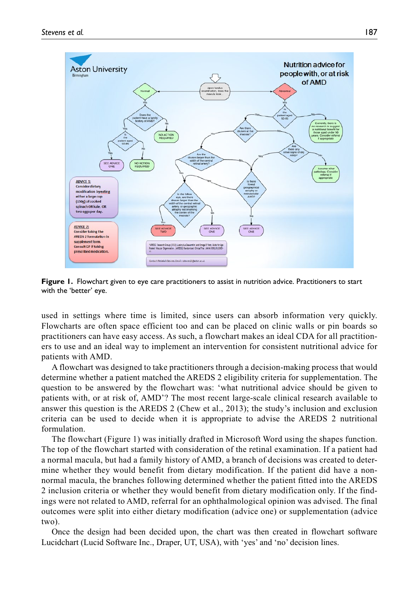

**Figure 1.** Flowchart given to eye care practitioners to assist in nutrition advice. Practitioners to start with the 'better' eye.

used in settings where time is limited, since users can absorb information very quickly. Flowcharts are often space efficient too and can be placed on clinic walls or pin boards so practitioners can have easy access. As such, a flowchart makes an ideal CDA for all practitioners to use and an ideal way to implement an intervention for consistent nutritional advice for patients with AMD.

A flowchart was designed to take practitioners through a decision-making process that would determine whether a patient matched the AREDS 2 eligibility criteria for supplementation. The question to be answered by the flowchart was: 'what nutritional advice should be given to patients with, or at risk of, AMD'? The most recent large-scale clinical research available to answer this question is the AREDS 2 (Chew et al., 2013); the study's inclusion and exclusion criteria can be used to decide when it is appropriate to advise the AREDS 2 nutritional formulation.

The flowchart (Figure 1) was initially drafted in Microsoft Word using the shapes function. The top of the flowchart started with consideration of the retinal examination. If a patient had a normal macula, but had a family history of AMD, a branch of decisions was created to determine whether they would benefit from dietary modification. If the patient did have a nonnormal macula, the branches following determined whether the patient fitted into the AREDS 2 inclusion criteria or whether they would benefit from dietary modification only. If the findings were not related to AMD, referral for an ophthalmological opinion was advised. The final outcomes were split into either dietary modification (advice one) or supplementation (advice two).

Once the design had been decided upon, the chart was then created in flowchart software Lucidchart (Lucid Software Inc., Draper, UT, USA), with 'yes' and 'no' decision lines.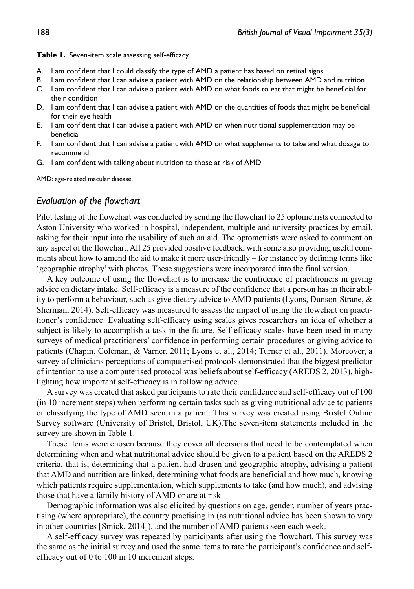**Table 1.** Seven-item scale assessing self-efficacy.

- A. I am confident that I could classify the type of AMD a patient has based on retinal signs
- B. I am confident that I can advise a patient with AMD on the relationship between AMD and nutrition C. I am confident that I can advise a patient with AMD on what foods to eat that might be beneficial for
- their condition
- D. I am confident that I can advise a patient with AMD on the quantities of foods that might be beneficial for their eye health
- E. I am confident that I can advise a patient with AMD on when nutritional supplementation may be beneficial
- F. I am confident that I can advise a patient with AMD on what supplements to take and what dosage to recommend
- G. I am confident with talking about nutrition to those at risk of AMD

AMD: age-related macular disease.

#### *Evaluation of the flowchart*

Pilot testing of the flowchart was conducted by sending the flowchart to 25 optometrists connected to Aston University who worked in hospital, independent, multiple and university practices by email, asking for their input into the usability of such an aid. The optometrists were asked to comment on any aspect of the flowchart. All 25 provided positive feedback, with some also providing useful comments about how to amend the aid to make it more user-friendly – for instance by defining terms like 'geographic atrophy' with photos. These suggestions were incorporated into the final version.

A key outcome of using the flowchart is to increase the confidence of practitioners in giving advice on dietary intake. Self-efficacy is a measure of the confidence that a person has in their ability to perform a behaviour, such as give dietary advice to AMD patients (Lyons, Dunson-Strane, & Sherman, 2014). Self-efficacy was measured to assess the impact of using the flowchart on practitioner's confidence. Evaluating self-efficacy using scales gives researchers an idea of whether a subject is likely to accomplish a task in the future. Self-efficacy scales have been used in many surveys of medical practitioners' confidence in performing certain procedures or giving advice to patients (Chapin, Coleman, & Varner, 2011; Lyons et al., 2014; Turner et al., 2011). Moreover, a survey of clinicians perceptions of computerised protocols demonstrated that the biggest predictor of intention to use a computerised protocol was beliefs about self-efficacy (AREDS 2, 2013), highlighting how important self-efficacy is in following advice.

A survey was created that asked participants to rate their confidence and self-efficacy out of 100 (in 10 increment steps) when performing certain tasks such as giving nutritional advice to patients or classifying the type of AMD seen in a patient. This survey was created using Bristol Online Survey software (University of Bristol, Bristol, UK).The seven-item statements included in the survey are shown in Table 1.

These items were chosen because they cover all decisions that need to be contemplated when determining when and what nutritional advice should be given to a patient based on the AREDS 2 criteria, that is, determining that a patient had drusen and geographic atrophy, advising a patient that AMD and nutrition are linked, determining what foods are beneficial and how much, knowing which patients require supplementation, which supplements to take (and how much), and advising those that have a family history of AMD or are at risk.

Demographic information was also elicited by questions on age, gender, number of years practising (where appropriate), the country practising in (as nutritional advice has been shown to vary in other countries [Smick, 2014]), and the number of AMD patients seen each week.

A self-efficacy survey was repeated by participants after using the flowchart. This survey was the same as the initial survey and used the same items to rate the participant's confidence and selfefficacy out of 0 to 100 in 10 increment steps.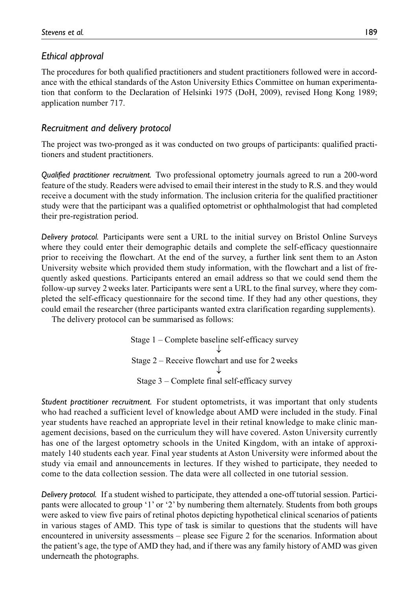# *Ethical approval*

The procedures for both qualified practitioners and student practitioners followed were in accordance with the ethical standards of the Aston University Ethics Committee on human experimentation that conform to the Declaration of Helsinki 1975 (DoH, 2009), revised Hong Kong 1989; application number 717.

# *Recruitment and delivery protocol*

The project was two-pronged as it was conducted on two groups of participants: qualified practitioners and student practitioners.

*Qualified practitioner recruitment.* Two professional optometry journals agreed to run a 200-word feature of the study. Readers were advised to email their interest in the study to R.S. and they would receive a document with the study information. The inclusion criteria for the qualified practitioner study were that the participant was a qualified optometrist or ophthalmologist that had completed their pre-registration period.

*Delivery protocol.* Participants were sent a URL to the initial survey on Bristol Online Surveys where they could enter their demographic details and complete the self-efficacy questionnaire prior to receiving the flowchart. At the end of the survey, a further link sent them to an Aston University website which provided them study information, with the flowchart and a list of frequently asked questions. Participants entered an email address so that we could send them the follow-up survey 2weeks later. Participants were sent a URL to the final survey, where they completed the self-efficacy questionnaire for the second time. If they had any other questions, they could email the researcher (three participants wanted extra clarification regarding supplements).

The delivery protocol can be summarised as follows:

Stage 1 – Complete baseline self-efficacy survey ↓ Stage 2 – Receive flowchart and use for 2weeks ↓ Stage 3 – Complete final self-efficacy survey

*Student practitioner recruitment.* For student optometrists, it was important that only students who had reached a sufficient level of knowledge about AMD were included in the study. Final year students have reached an appropriate level in their retinal knowledge to make clinic management decisions, based on the curriculum they will have covered. Aston University currently has one of the largest optometry schools in the United Kingdom, with an intake of approximately 140 students each year. Final year students at Aston University were informed about the study via email and announcements in lectures. If they wished to participate, they needed to come to the data collection session. The data were all collected in one tutorial session.

*Delivery protocol.* If a student wished to participate, they attended a one-off tutorial session. Participants were allocated to group '1' or '2' by numbering them alternately. Students from both groups were asked to view five pairs of retinal photos depicting hypothetical clinical scenarios of patients in various stages of AMD. This type of task is similar to questions that the students will have encountered in university assessments – please see Figure 2 for the scenarios. Information about the patient's age, the type of AMD they had, and if there was any family history of AMD was given underneath the photographs.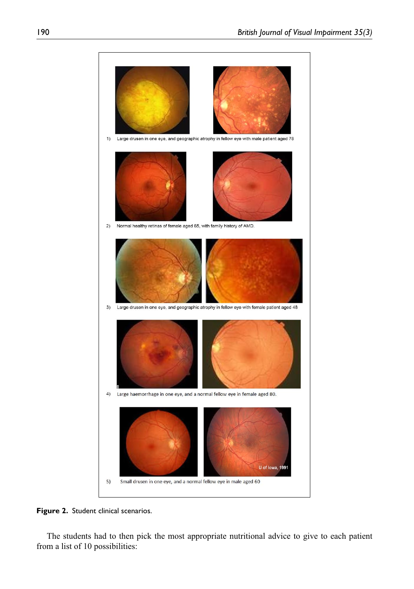

**Figure 2.** Student clinical scenarios.

The students had to then pick the most appropriate nutritional advice to give to each patient from a list of 10 possibilities: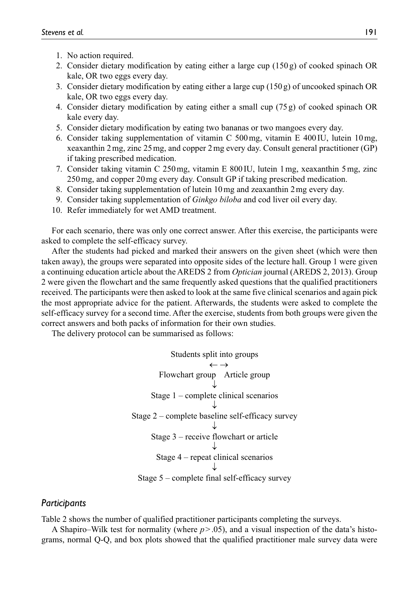- 1. No action required.
- 2. Consider dietary modification by eating either a large cup (150 g) of cooked spinach OR kale, OR two eggs every day.
- 3. Consider dietary modification by eating either a large cup (150 g) of uncooked spinach OR kale, OR two eggs every day.
- 4. Consider dietary modification by eating either a small cup (75 g) of cooked spinach OR kale every day.
- 5. Consider dietary modification by eating two bananas or two mangoes every day.
- 6. Consider taking supplementation of vitamin C 500mg, vitamin E 400 IU, lutein 10mg, xeaxanthin 2mg, zinc 25mg, and copper 2mg every day. Consult general practitioner (GP) if taking prescribed medication.
- 7. Consider taking vitamin C 250mg, vitamin E 800IU, lutein 1mg, xeaxanthin 5mg, zinc 250mg, and copper 20mg every day. Consult GP if taking prescribed medication.
- 8. Consider taking supplementation of lutein 10mg and zeaxanthin 2mg every day.
- 9. Consider taking supplementation of *Ginkgo biloba* and cod liver oil every day.
- 10. Refer immediately for wet AMD treatment.

For each scenario, there was only one correct answer. After this exercise, the participants were asked to complete the self-efficacy survey.

After the students had picked and marked their answers on the given sheet (which were then taken away), the groups were separated into opposite sides of the lecture hall. Group 1 were given a continuing education article about the AREDS 2 from *Optician* journal (AREDS 2, 2013). Group 2 were given the flowchart and the same frequently asked questions that the qualified practitioners received. The participants were then asked to look at the same five clinical scenarios and again pick the most appropriate advice for the patient. Afterwards, the students were asked to complete the self-efficacy survey for a second time. After the exercise, students from both groups were given the correct answers and both packs of information for their own studies.

The delivery protocol can be summarised as follows:



#### *Participants*

Table 2 shows the number of qualified practitioner participants completing the surveys.

A Shapiro–Wilk test for normality (where *p*>.05), and a visual inspection of the data's histograms, normal Q-Q, and box plots showed that the qualified practitioner male survey data were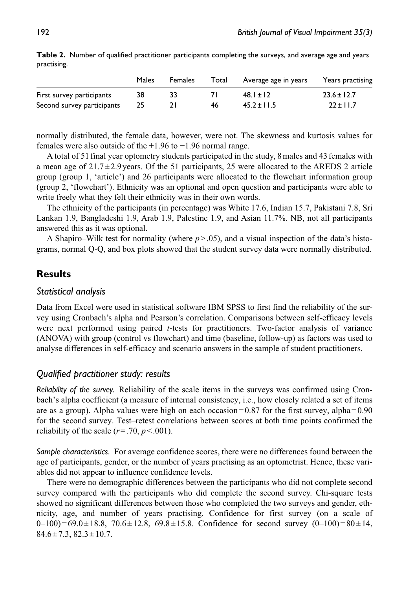|                            | Males | <b>Females</b> | Total | Average age in years | Years practising |
|----------------------------|-------|----------------|-------|----------------------|------------------|
| First survey participants  | 38    | 33             |       | $48.1 \pm 12$        | $23.6 \pm 12.7$  |
| Second survey participants | 25    | 21             | 46    | $45.2 \pm 11.5$      | $22 + 11.7$      |

**Table 2.** Number of qualified practitioner participants completing the surveys, and average age and years practising.

normally distributed, the female data, however, were not. The skewness and kurtosis values for females were also outside of the +1.96 to −1.96 normal range.

A total of 51 final year optometry students participated in the study, 8males and 43 females with a mean age of  $21.7\pm2.9$  years. Of the 51 participants, 25 were allocated to the AREDS 2 article group (group 1, 'article') and 26 participants were allocated to the flowchart information group (group 2, 'flowchart'). Ethnicity was an optional and open question and participants were able to write freely what they felt their ethnicity was in their own words.

The ethnicity of the participants (in percentage) was White 17.6, Indian 15.7, Pakistani 7.8, Sri Lankan 1.9, Bangladeshi 1.9, Arab 1.9, Palestine 1.9, and Asian 11.7%. NB, not all participants answered this as it was optional.

A Shapiro–Wilk test for normality (where *p*>.05), and a visual inspection of the data's histograms, normal Q-Q, and box plots showed that the student survey data were normally distributed.

## **Results**

## *Statistical analysis*

Data from Excel were used in statistical software IBM SPSS to first find the reliability of the survey using Cronbach's alpha and Pearson's correlation. Comparisons between self-efficacy levels were next performed using paired *t*-tests for practitioners. Two-factor analysis of variance (ANOVA) with group (control vs flowchart) and time (baseline, follow-up) as factors was used to analyse differences in self-efficacy and scenario answers in the sample of student practitioners.

## *Qualified practitioner study: results*

*Reliability of the survey.* Reliability of the scale items in the surveys was confirmed using Cronbach's alpha coefficient (a measure of internal consistency, i.e., how closely related a set of items are as a group). Alpha values were high on each occasion=0.87 for the first survey, alpha=0.90 for the second survey. Test–retest correlations between scores at both time points confirmed the reliability of the scale  $(r=.70, p<.001)$ .

*Sample characteristics.* For average confidence scores, there were no differences found between the age of participants, gender, or the number of years practising as an optometrist. Hence, these variables did not appear to influence confidence levels.

There were no demographic differences between the participants who did not complete second survey compared with the participants who did complete the second survey. Chi-square tests showed no significant differences between those who completed the two surveys and gender, ethnicity, age, and number of years practising. Confidence for first survey (on a scale of  $0-100$ )=69.0±18.8, 70.6±12.8, 69.8±15.8. Confidence for second survey  $(0-100)$ =80±14,  $84.6 \pm 7.3$ ,  $82.3 \pm 10.7$ .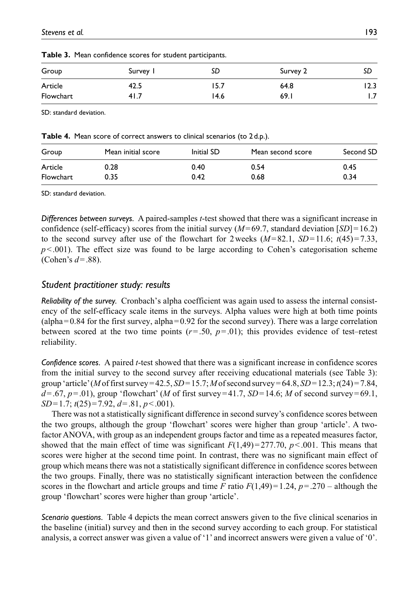| Group     | Survey I | SD   | Survey 2 | SD   |
|-----------|----------|------|----------|------|
| Article   | 42.5     | 15.7 | 64.8     | 12.3 |
| Flowchart | 41.7     | 14.6 | 69.I     | 1.7  |

**Table 3.** Mean confidence scores for student participants.

SD: standard deviation.

Table 4. Mean score of correct answers to clinical scenarios (to 2 d.p.).

| Group     | Mean initial score | Initial SD | Mean second score | Second SD |
|-----------|--------------------|------------|-------------------|-----------|
| Article   | 0.28               | 0.40       | 0.54              | 0.45      |
| Flowchart | 0.35               | 0.42       | 0.68              | 0.34      |

SD: standard deviation.

*Differences between surveys.* A paired-samples *t*-test showed that there was a significant increase in confidence (self-efficacy) scores from the initial survey ( $M=69.7$ , standard deviation [*SD*]=16.2) to the second survey after use of the flowchart for 2 weeks  $(M=82.1, SD=11.6; t(45)=7.33,$  $p<0.001$ ). The effect size was found to be large according to Cohen's categorisation scheme (Cohen's *d*=.88).

## *Student practitioner study: results*

*Reliability of the survey.* Cronbach's alpha coefficient was again used to assess the internal consistency of the self-efficacy scale items in the surveys. Alpha values were high at both time points  $(alpha=0.84$  for the first survey, alpha=0.92 for the second survey). There was a large correlation between scored at the two time points  $(r=.50, p=.01)$ ; this provides evidence of test–retest reliability.

*Confidence scores.* A paired *t*-test showed that there was a significant increase in confidence scores from the initial survey to the second survey after receiving educational materials (see Table 3): group 'article' (*M* of first survey = 42.5,  $SD = 15.7$ ; *M* of second survey = 64.8,  $SD = 12.3$ ;  $t(24) = 7.84$ , *d*=.67, *p*=.01), group 'flowchart' (*M* of first survey=41.7, *SD*=14.6; *M* of second survey=69.1, *SD*=1.7; *t*(25)=7.92, *d*=.81, *p*<.001).

There was not a statistically significant difference in second survey's confidence scores between the two groups, although the group 'flowchart' scores were higher than group 'article'. A twofactor ANOVA, with group as an independent groups factor and time as a repeated measures factor, showed that the main effect of time was significant  $F(1,49)=277.70, p<.001$ . This means that scores were higher at the second time point. In contrast, there was no significant main effect of group which means there was not a statistically significant difference in confidence scores between the two groups. Finally, there was no statistically significant interaction between the confidence scores in the flowchart and article groups and time *F* ratio  $F(1,49)=1.24$ ,  $p=.270$  – although the group 'flowchart' scores were higher than group 'article'.

*Scenario questions.* Table 4 depicts the mean correct answers given to the five clinical scenarios in the baseline (initial) survey and then in the second survey according to each group. For statistical analysis, a correct answer was given a value of '1' and incorrect answers were given a value of '0'.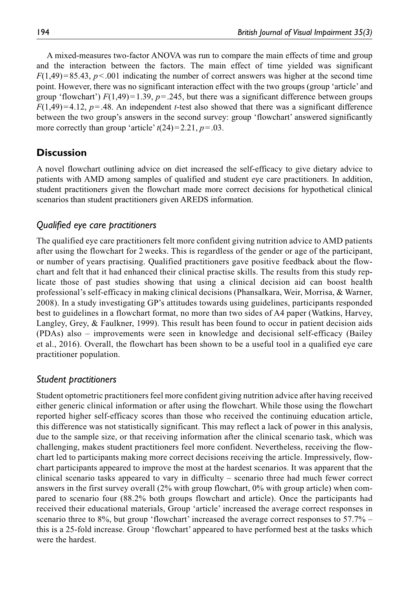A mixed-measures two-factor ANOVA was run to compare the main effects of time and group and the interaction between the factors. The main effect of time yielded was significant  $F(1,49)=85.43, p<.001$  indicating the number of correct answers was higher at the second time point. However, there was no significant interaction effect with the two groups (group 'article' and group 'flowchart')  $F(1,49) = 1.39$ ,  $p = .245$ , but there was a significant difference between groups  $F(1,49)=4.12$ ,  $p=.48$ . An independent *t*-test also showed that there was a significant difference between the two group's answers in the second survey: group 'flowchart' answered significantly more correctly than group 'article'  $t(24)=2.21, p=.03$ .

# **Discussion**

A novel flowchart outlining advice on diet increased the self-efficacy to give dietary advice to patients with AMD among samples of qualified and student eye care practitioners. In addition, student practitioners given the flowchart made more correct decisions for hypothetical clinical scenarios than student practitioners given AREDS information.

## *Qualified eye care practitioners*

The qualified eye care practitioners felt more confident giving nutrition advice to AMD patients after using the flowchart for 2 weeks. This is regardless of the gender or age of the participant, or number of years practising. Qualified practitioners gave positive feedback about the flowchart and felt that it had enhanced their clinical practise skills. The results from this study replicate those of past studies showing that using a clinical decision aid can boost health professional's self-efficacy in making clinical decisions (Phansalkara, Weir, Morrisa, & Warner, 2008). In a study investigating GP's attitudes towards using guidelines, participants responded best to guidelines in a flowchart format, no more than two sides of A4 paper (Watkins, Harvey, Langley, Grey, & Faulkner, 1999). This result has been found to occur in patient decision aids (PDAs) also – improvements were seen in knowledge and decisional self-efficacy (Bailey et al., 2016). Overall, the flowchart has been shown to be a useful tool in a qualified eye care practitioner population.

## *Student practitioners*

Student optometric practitioners feel more confident giving nutrition advice after having received either generic clinical information or after using the flowchart. While those using the flowchart reported higher self-efficacy scores than those who received the continuing education article, this difference was not statistically significant. This may reflect a lack of power in this analysis, due to the sample size, or that receiving information after the clinical scenario task, which was challenging, makes student practitioners feel more confident. Nevertheless, receiving the flowchart led to participants making more correct decisions receiving the article. Impressively, flowchart participants appeared to improve the most at the hardest scenarios. It was apparent that the clinical scenario tasks appeared to vary in difficulty – scenario three had much fewer correct answers in the first survey overall (2% with group flowchart, 0% with group article) when compared to scenario four (88.2% both groups flowchart and article). Once the participants had received their educational materials, Group 'article' increased the average correct responses in scenario three to 8%, but group 'flowchart' increased the average correct responses to 57.7% – this is a 25-fold increase. Group 'flowchart' appeared to have performed best at the tasks which were the hardest.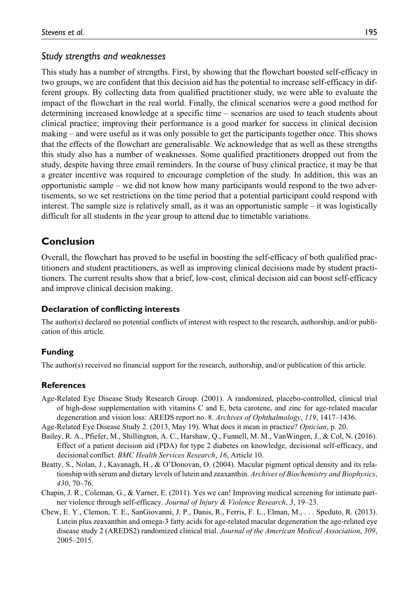## *Study strengths and weaknesses*

This study has a number of strengths. First, by showing that the flowchart boosted self-efficacy in two groups, we are confident that this decision aid has the potential to increase self-efficacy in different groups. By collecting data from qualified practitioner study, we were able to evaluate the impact of the flowchart in the real world. Finally, the clinical scenarios were a good method for determining increased knowledge at a specific time – scenarios are used to teach students about clinical practice; improving their performance is a good marker for success in clinical decision making – and were useful as it was only possible to get the participants together once. This shows that the effects of the flowchart are generalisable. We acknowledge that as well as these strengths this study also has a number of weaknesses. Some qualified practitioners dropped out from the study, despite having three email reminders. In the course of busy clinical practice, it may be that a greater incentive was required to encourage completion of the study. In addition, this was an opportunistic sample – we did not know how many participants would respond to the two advertisements, so we set restrictions on the time period that a potential participant could respond with interest. The sample size is relatively small, as it was an opportunistic sample – it was logistically difficult for all students in the year group to attend due to timetable variations.

## **Conclusion**

Overall, the flowchart has proved to be useful in boosting the self-efficacy of both qualified practitioners and student practitioners, as well as improving clinical decisions made by student practitioners. The current results show that a brief, low-cost, clinical decision aid can boost self-efficacy and improve clinical decision making.

#### **Declaration of conflicting interests**

The author(s) declared no potential conflicts of interest with respect to the research, authorship, and/or publication of this article.

#### **Funding**

The author(s) received no financial support for the research, authorship, and/or publication of this article.

#### **References**

Age-Related Eye Disease Study Research Group. (2001). A randomized, placebo-controlled, clinical trial of high-dose supplementation with vitamins C and E, beta carotene, and zinc for age-related macular degeneration and vision loss: AREDS report no. 8. *Archives of Ophthalmology*, *119*, 1417–1436.

Age-Related Eye Disease Study 2. (2013, May 19). What does it mean in practice? *Optician*, p. 20.

- Bailey, R. A., Pfiefer, M., Shillington, A. C., Harshaw, Q., Funnell, M. M., VanWingen, J., & Col, N. (2016). Effect of a patient decision aid (PDA) for type 2 diabetes on knowledge, decisional self-efficacy, and decisional conflict. *BMC Health Services Research*, *16*, Article 10.
- Beatty, S., Nolan, J., Kavanagh, H., & O'Donovan, O. (2004). Macular pigment optical density and its relationship with serum and dietary levels of lutein and zeaxanthin. *Archives of Biochemistry and Biophysics*, *430*, 70–76.
- Chapin, J. R., Coleman, G., & Varner, E. (2011). Yes we can! Improving medical screening for intimate partner violence through self-efficacy. *Journal of Injury & Violence Research*, *3*, 19–23.
- Chew, E. Y., Clemon, T. E., SanGiovanni, J. P., Danis, R., Ferris, F. L., Elman, M., . . . Speduto, R. (2013). Lutein plus zeaxanthin and omega-3 fatty acids for age-related macular degeneration the age-related eye disease study 2 (AREDS2) randomized clinical trial. *Journal of the American Medical Association*, *309*, 2005–2015.